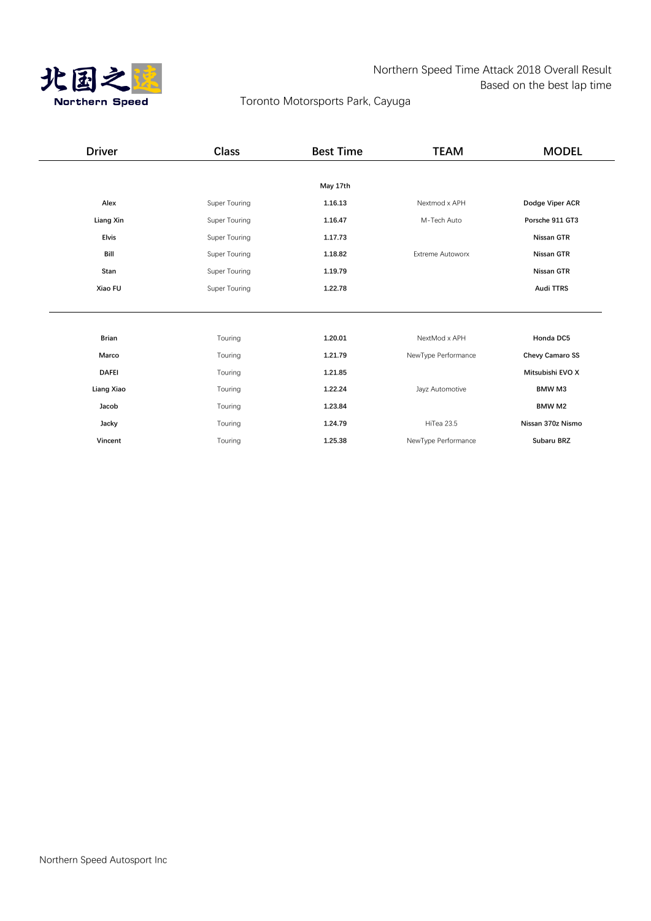

# Northern Speed Time Attack 2018 Overall Result Based on the best lap time

# Toronto Motorsports Park, Cayuga

| <b>Driver</b> | <b>Class</b>  | <b>Best Time</b> | <b>TEAM</b>             | <b>MODEL</b>           |
|---------------|---------------|------------------|-------------------------|------------------------|
|               |               |                  |                         |                        |
|               |               | May 17th         |                         |                        |
| Alex          | Super Touring | 1.16.13          | Nextmod x APH           | Dodge Viper ACR        |
| Liang Xin     | Super Touring | 1.16.47          | M-Tech Auto             | Porsche 911 GT3        |
| <b>Elvis</b>  | Super Touring | 1.17.73          |                         | Nissan GTR             |
| Bill          | Super Touring | 1.18.82          | <b>Extreme Autoworx</b> | Nissan GTR             |
| Stan          | Super Touring | 1.19.79          |                         | Nissan GTR             |
| Xiao FU       | Super Touring | 1.22.78          |                         | <b>Audi TTRS</b>       |
|               |               |                  |                         |                        |
|               |               |                  |                         |                        |
| <b>Brian</b>  | Touring       | 1.20.01          | NextMod x APH           | Honda DC5              |
| Marco         | Touring       | 1.21.79          | NewType Performance     | <b>Chevy Camaro SS</b> |
| <b>DAFEI</b>  | Touring       | 1.21.85          |                         | Mitsubishi EVO X       |
| Liang Xiao    | Touring       | 1.22.24          | Jayz Automotive         | <b>BMW M3</b>          |
| Jacob         | Touring       | 1.23.84          |                         | <b>BMW M2</b>          |
| Jacky         | Touring       | 1.24.79          | HiTea 23.5              | Nissan 370z Nismo      |
| Vincent       | Touring       | 1.25.38          | NewType Performance     | Subaru BRZ             |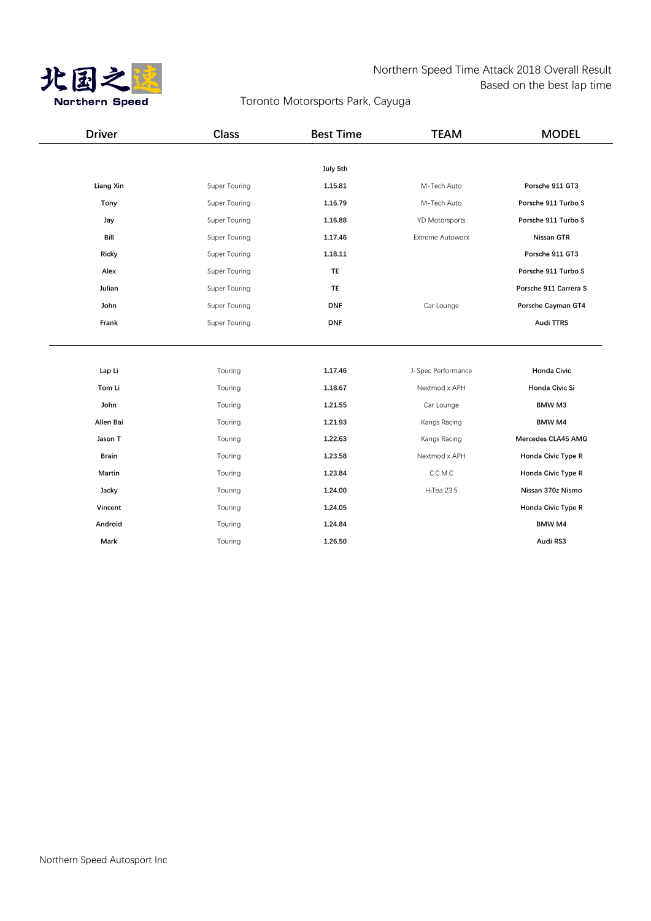

#### Northern Speed Time Attack 2018 Overall Result Based on the best lap time

# Toronto Motorsports Park, Cayuga

| <b>Driver</b>    | <b>Class</b>  | <b>Best Time</b> | <b>TEAM</b>           | <b>MODEL</b>              |
|------------------|---------------|------------------|-----------------------|---------------------------|
|                  |               |                  |                       |                           |
|                  |               | July 5th         |                       |                           |
| <b>Liang Xin</b> | Super Touring | 1.15.81          | M-Tech Auto           | Porsche 911 GT3           |
| Tony             | Super Touring | 1.16.79          | M-Tech Auto           | Porsche 911 Turbo S       |
| Jay              | Super Touring | 1.16.88          | <b>YD Motorsports</b> | Porsche 911 Turbo S       |
| Bill             | Super Touring | 1.17.46          | Extreme Autoworx      | Nissan GTR                |
| Ricky            | Super Touring | 1.18.11          |                       | Porsche 911 GT3           |
| Alex             | Super Touring | <b>TE</b>        |                       | Porsche 911 Turbo S       |
| Julian           | Super Touring | <b>TE</b>        |                       | Porsche 911 Carrera S     |
| John             | Super Touring | <b>DNF</b>       | Car Lounge            | Porsche Cayman GT4        |
| Frank            | Super Touring | <b>DNF</b>       |                       | <b>Audi TTRS</b>          |
|                  |               |                  |                       |                           |
|                  |               |                  |                       |                           |
| Lap Li           | Touring       | 1.17.46          | J-Spec Performance    | <b>Honda Civic</b>        |
| Tom Li           | Touring       | 1.18.67          | Nextmod x APH         | Honda Civic Si            |
| John             | Touring       | 1.21.55          | Car Lounge            | <b>BMW M3</b>             |
| Allen Bai        | Touring       | 1.21.93          | Kangs Racing          | <b>BMW M4</b>             |
| Jason T          | Touring       | 1.22.63          | Kangs Racing          | Mercedes CLA45 AMG        |
| <b>Brain</b>     | Touring       | 1.23.58          | Nextmod x APH         | Honda Civic Type R        |
| Martin           | Touring       | 1.23.84          | C.C.M.C               | <b>Honda Civic Type R</b> |
| Jacky            | Touring       | 1.24.00          | HiTea 23.5            | Nissan 370z Nismo         |
| Vincent          | Touring       | 1.24.05          |                       | <b>Honda Civic Type R</b> |
| Android          | Touring       | 1.24.84          |                       | <b>BMW M4</b>             |
| Mark             | Touring       | 1.26.50          |                       | Audi RS3                  |